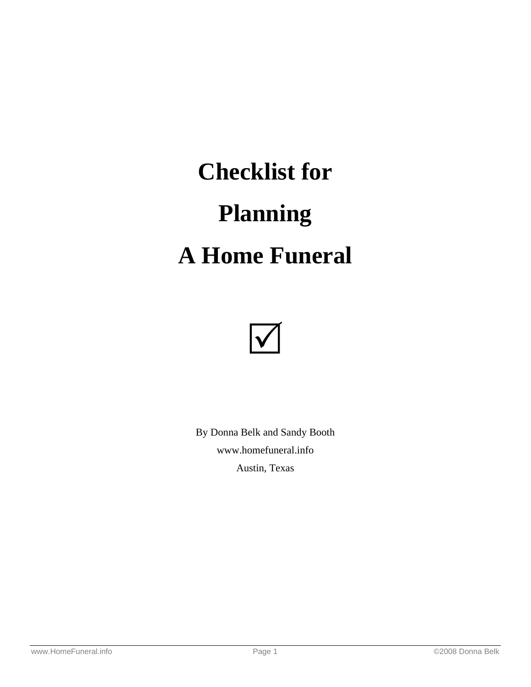# **Checklist for Planning A Home Funeral**



By Donna Belk and Sandy Booth www.homefuneral.info Austin, Texas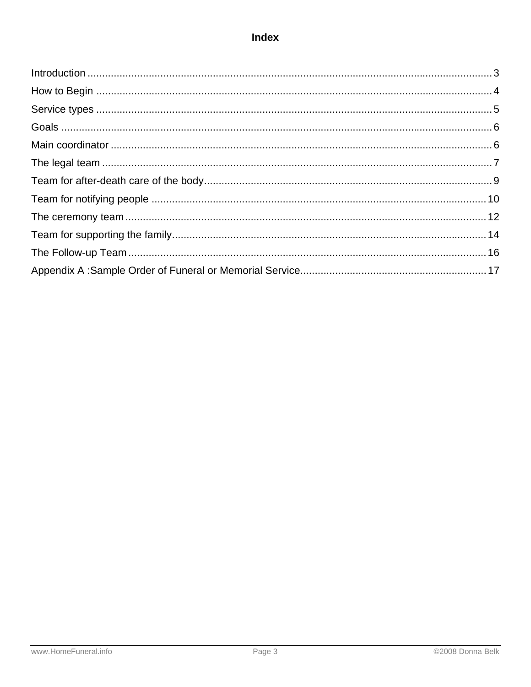## **Index**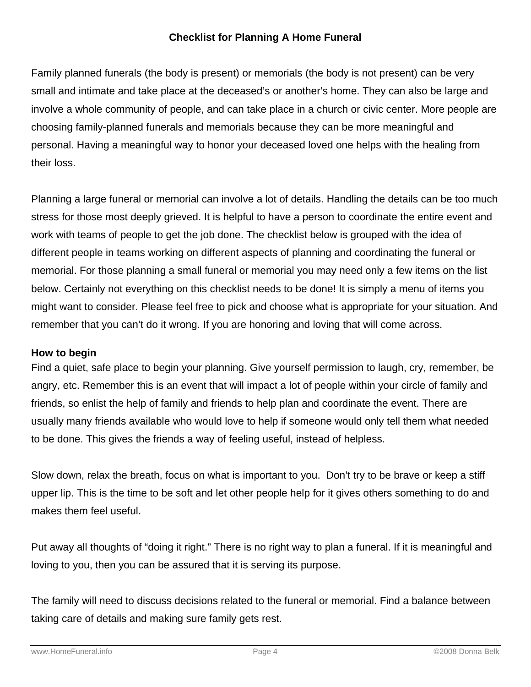## **Checklist for Planning A Home Funeral**

Family planned funerals (the body is present) or memorials (the body is not present) can be very small and intimate and take place at the deceased's or another's home. They can also be large and involve a whole community of people, and can take place in a church or civic center. More people are choosing family-planned funerals and memorials because they can be more meaningful and personal. Having a meaningful way to honor your deceased loved one helps with the healing from their loss.

Planning a large funeral or memorial can involve a lot of details. Handling the details can be too much stress for those most deeply grieved. It is helpful to have a person to coordinate the entire event and work with teams of people to get the job done. The checklist below is grouped with the idea of different people in teams working on different aspects of planning and coordinating the funeral or memorial. For those planning a small funeral or memorial you may need only a few items on the list below. Certainly not everything on this checklist needs to be done! It is simply a menu of items you might want to consider. Please feel free to pick and choose what is appropriate for your situation. And remember that you can't do it wrong. If you are honoring and loving that will come across.

#### **How to begin**

Find a quiet, safe place to begin your planning. Give yourself permission to laugh, cry, remember, be angry, etc. Remember this is an event that will impact a lot of people within your circle of family and friends, so enlist the help of family and friends to help plan and coordinate the event. There are usually many friends available who would love to help if someone would only tell them what needed to be done. This gives the friends a way of feeling useful, instead of helpless.

Slow down, relax the breath, focus on what is important to you. Don't try to be brave or keep a stiff upper lip. This is the time to be soft and let other people help for it gives others something to do and makes them feel useful.

Put away all thoughts of "doing it right." There is no right way to plan a funeral. If it is meaningful and loving to you, then you can be assured that it is serving its purpose.

The family will need to discuss decisions related to the funeral or memorial. Find a balance between taking care of details and making sure family gets rest.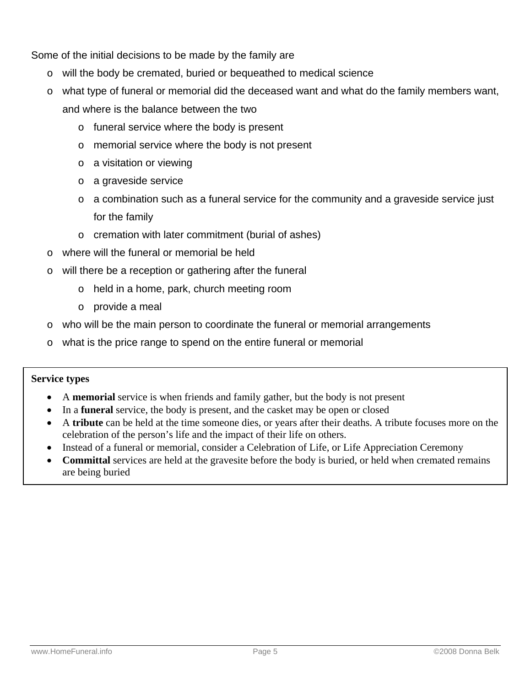Some of the initial decisions to be made by the family are

- o will the body be cremated, buried or bequeathed to medical science
- o what type of funeral or memorial did the deceased want and what do the family members want, and where is the balance between the two
	- o funeral service where the body is present
	- o memorial service where the body is not present
	- o a visitation or viewing
	- o a graveside service
	- $\circ$  a combination such as a funeral service for the community and a graveside service just for the family
	- o cremation with later commitment (burial of ashes)
- o where will the funeral or memorial be held
- o will there be a reception or gathering after the funeral
	- o held in a home, park, church meeting room
	- o provide a meal
- o who will be the main person to coordinate the funeral or memorial arrangements
- o what is the price range to spend on the entire funeral or memorial

#### **Service types**

- A **memorial** service is when friends and family gather, but the body is not present
- In a **funeral** service, the body is present, and the casket may be open or closed
- A **tribute** can be held at the time someone dies, or years after their deaths. A tribute focuses more on the celebration of the person's life and the impact of their life on others.
- Instead of a funeral or memorial, consider a Celebration of Life, or Life Appreciation Ceremony
- **Committal** services are held at the gravesite before the body is buried, or held when cremated remains are being buried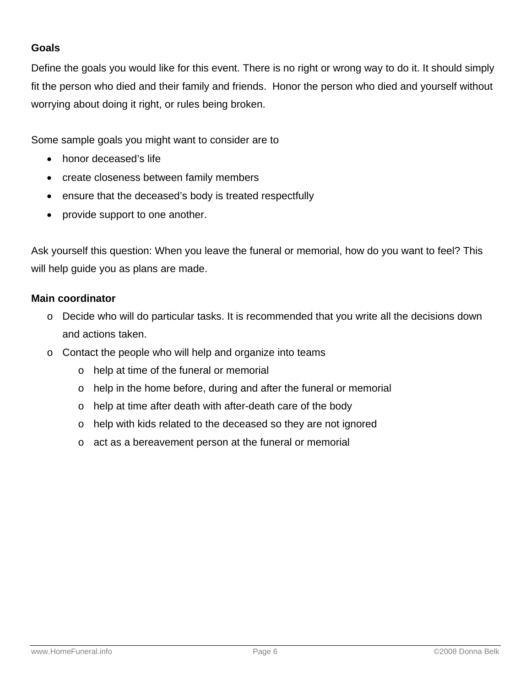## **Goals**

Define the goals you would like for this event. There is no right or wrong way to do it. It should simply fit the person who died and their family and friends. Honor the person who died and yourself without worrying about doing it right, or rules being broken.

Some sample goals you might want to consider are to

- honor deceased's life
- create closeness between family members
- ensure that the deceased's body is treated respectfully
- provide support to one another.

Ask yourself this question: When you leave the funeral or memorial, how do you want to feel? This will help guide you as plans are made.

## **Main coordinator**

- o Decide who will do particular tasks. It is recommended that you write all the decisions down and actions taken.
- o Contact the people who will help and organize into teams
	- o help at time of the funeral or memorial
	- o help in the home before, during and after the funeral or memorial
	- o help at time after death with after-death care of the body
	- o help with kids related to the deceased so they are not ignored
	- o act as a bereavement person at the funeral or memorial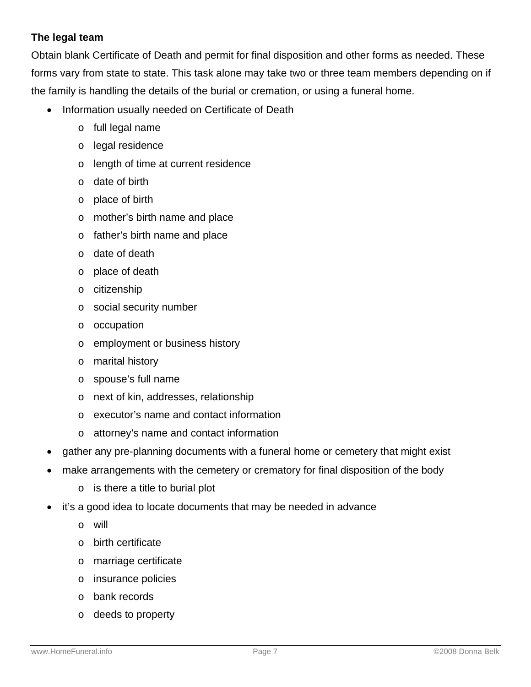## **The legal team**

Obtain blank Certificate of Death and permit for final disposition and other forms as needed. These forms vary from state to state. This task alone may take two or three team members depending on if the family is handling the details of the burial or cremation, or using a funeral home.

- Information usually needed on Certificate of Death
	- o full legal name
	- o legal residence
	- o length of time at current residence
	- o date of birth
	- o place of birth
	- o mother's birth name and place
	- o father's birth name and place
	- o date of death
	- o place of death
	- o citizenship
	- o social security number
	- o occupation
	- o employment or business history
	- o marital history
	- o spouse's full name
	- o next of kin, addresses, relationship
	- o executor's name and contact information
	- o attorney's name and contact information
- gather any pre-planning documents with a funeral home or cemetery that might exist
- make arrangements with the cemetery or crematory for final disposition of the body
	- o is there a title to burial plot
- it's a good idea to locate documents that may be needed in advance
	- o will
	- o birth certificate
	- o marriage certificate
	- o insurance policies
	- o bank records
	- o deeds to property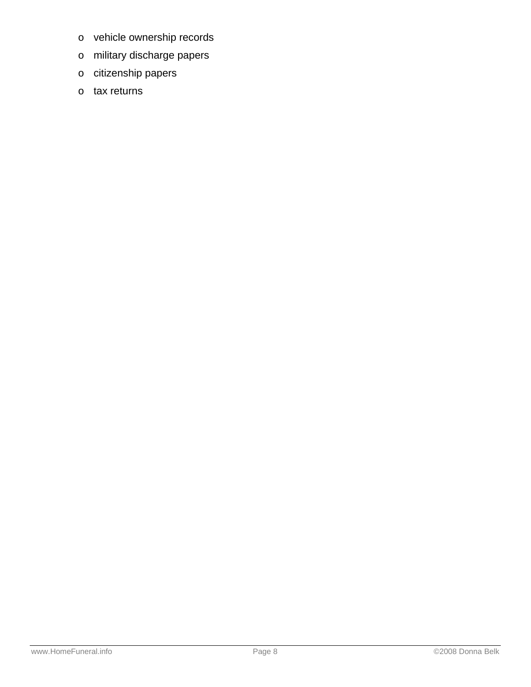- o vehicle ownership records
- o military discharge papers
- o citizenship papers
- o tax returns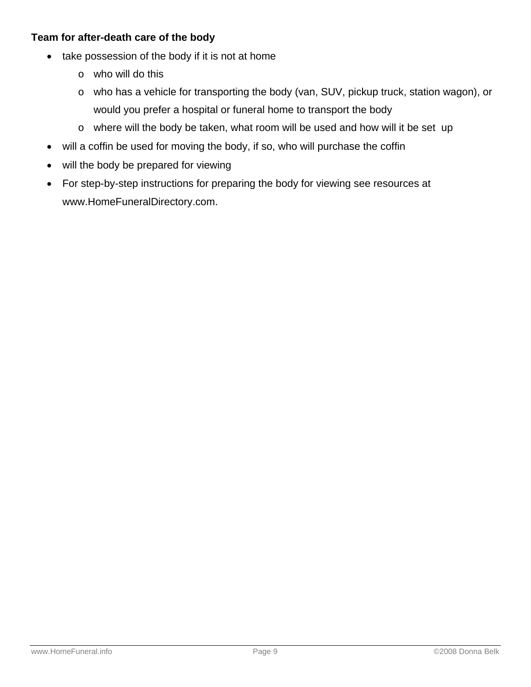## **Team for after-death care of the body**

- take possession of the body if it is not at home
	- o who will do this
	- o who has a vehicle for transporting the body (van, SUV, pickup truck, station wagon), or would you prefer a hospital or funeral home to transport the body
	- o where will the body be taken, what room will be used and how will it be set up
- will a coffin be used for moving the body, if so, who will purchase the coffin
- will the body be prepared for viewing
- For step-by-step instructions for preparing the body for viewing see resources at www.HomeFuneralDirectory.com.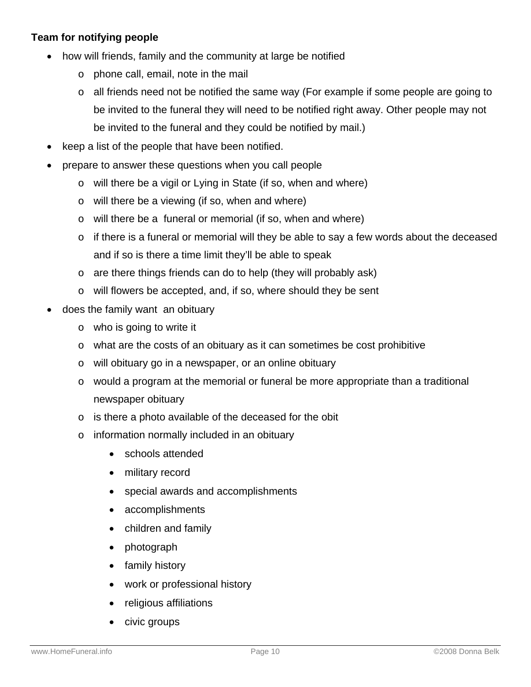## **Team for notifying people**

- how will friends, family and the community at large be notified
	- o phone call, email, note in the mail
	- o all friends need not be notified the same way (For example if some people are going to be invited to the funeral they will need to be notified right away. Other people may not be invited to the funeral and they could be notified by mail.)
- keep a list of the people that have been notified.
- prepare to answer these questions when you call people
	- o will there be a vigil or Lying in State (if so, when and where)
	- o will there be a viewing (if so, when and where)
	- o will there be a funeral or memorial (if so, when and where)
	- o if there is a funeral or memorial will they be able to say a few words about the deceased and if so is there a time limit they'll be able to speak
	- o are there things friends can do to help (they will probably ask)
	- o will flowers be accepted, and, if so, where should they be sent
- does the family want an obituary
	- o who is going to write it
	- o what are the costs of an obituary as it can sometimes be cost prohibitive
	- o will obituary go in a newspaper, or an online obituary
	- o would a program at the memorial or funeral be more appropriate than a traditional newspaper obituary
	- o is there a photo available of the deceased for the obit
	- o information normally included in an obituary
		- schools attended
		- military record
		- special awards and accomplishments
		- accomplishments
		- children and family
		- photograph
		- family history
		- work or professional history
		- religious affiliations
		- civic groups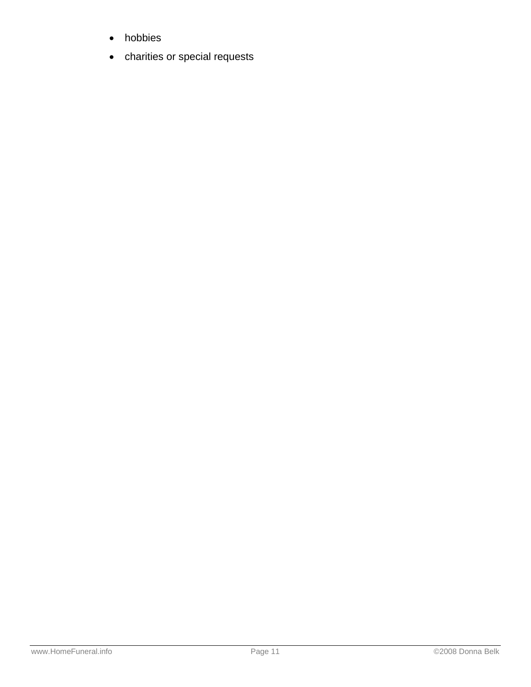- hobbies
- charities or special requests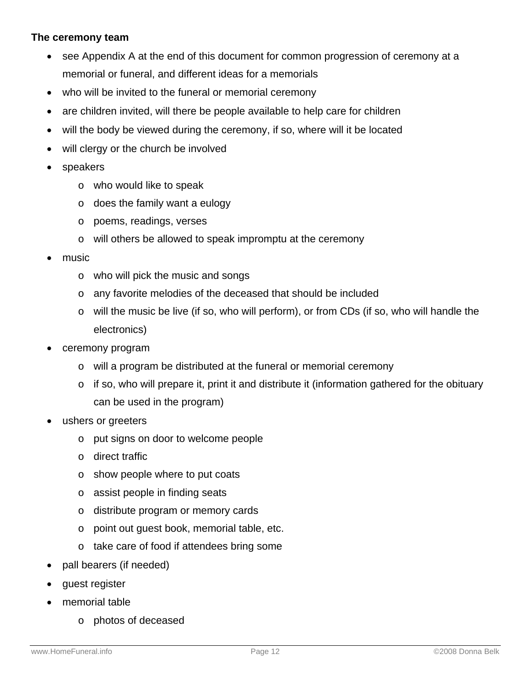#### **The ceremony team**

- see Appendix A at the end of this document for common progression of ceremony at a memorial or funeral, and different ideas for a memorials
- who will be invited to the funeral or memorial ceremony
- are children invited, will there be people available to help care for children
- will the body be viewed during the ceremony, if so, where will it be located
- will clergy or the church be involved
- speakers
	- o who would like to speak
	- o does the family want a eulogy
	- o poems, readings, verses
	- o will others be allowed to speak impromptu at the ceremony
- music
	- o who will pick the music and songs
	- o any favorite melodies of the deceased that should be included
	- o will the music be live (if so, who will perform), or from CDs (if so, who will handle the electronics)
- ceremony program
	- o will a program be distributed at the funeral or memorial ceremony
	- o if so, who will prepare it, print it and distribute it (information gathered for the obituary can be used in the program)
- ushers or greeters
	- o put signs on door to welcome people
	- o direct traffic
	- o show people where to put coats
	- o assist people in finding seats
	- o distribute program or memory cards
	- o point out guest book, memorial table, etc.
	- o take care of food if attendees bring some
- pall bearers (if needed)
- guest register
- memorial table
	- o photos of deceased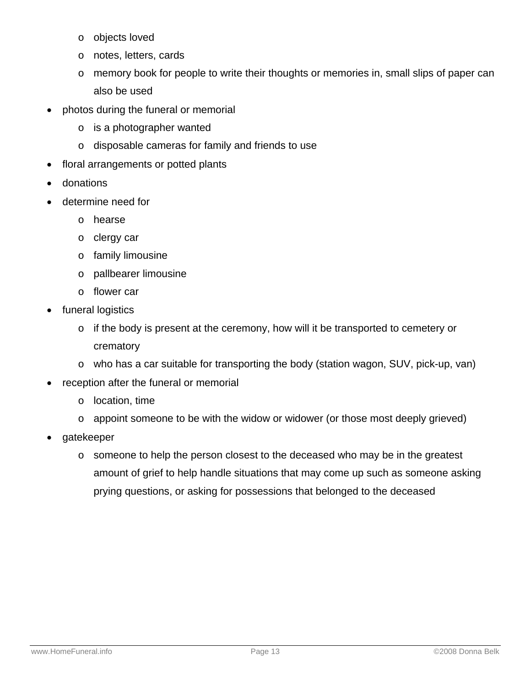- o objects loved
- o notes, letters, cards
- o memory book for people to write their thoughts or memories in, small slips of paper can also be used
- photos during the funeral or memorial
	- o is a photographer wanted
	- o disposable cameras for family and friends to use
- floral arrangements or potted plants
- donations
- determine need for
	- o hearse
	- o clergy car
	- o family limousine
	- o pallbearer limousine
	- o flower car
- funeral logistics
	- o if the body is present at the ceremony, how will it be transported to cemetery or crematory
	- o who has a car suitable for transporting the body (station wagon, SUV, pick-up, van)
- reception after the funeral or memorial
	- o location, time
	- o appoint someone to be with the widow or widower (or those most deeply grieved)
- gatekeeper
	- o someone to help the person closest to the deceased who may be in the greatest amount of grief to help handle situations that may come up such as someone asking prying questions, or asking for possessions that belonged to the deceased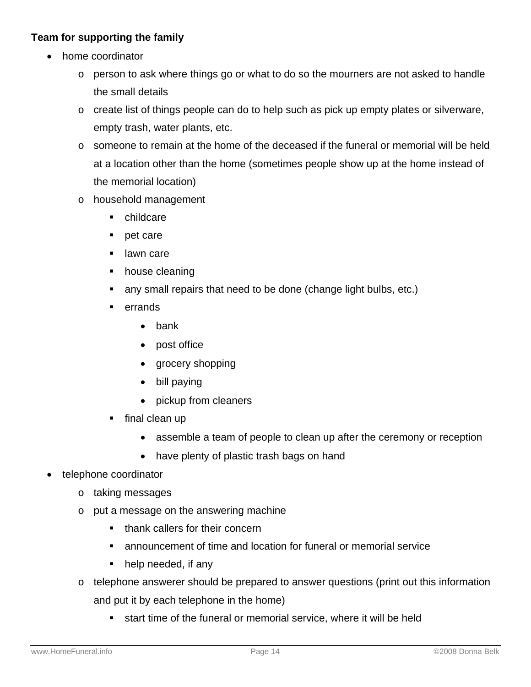## **Team for supporting the family**

- home coordinator
	- $\circ$  person to ask where things go or what to do so the mourners are not asked to handle the small details
	- o create list of things people can do to help such as pick up empty plates or silverware, empty trash, water plants, etc.
	- o someone to remain at the home of the deceased if the funeral or memorial will be held at a location other than the home (sometimes people show up at the home instead of the memorial location)
	- o household management
		- childcare
		- pet care
		- **I** lawn care
		- house cleaning
		- any small repairs that need to be done (change light bulbs, etc.)
		- $\blacksquare$  errands
			- bank
			- post office
			- grocery shopping
			- bill paying
			- pickup from cleaners
		- final clean up
			- assemble a team of people to clean up after the ceremony or reception
			- have plenty of plastic trash bags on hand
- telephone coordinator
	- o taking messages
	- o put a message on the answering machine
		- **thank callers for their concern**
		- announcement of time and location for funeral or memorial service
		- help needed, if any
	- o telephone answerer should be prepared to answer questions (print out this information and put it by each telephone in the home)
		- start time of the funeral or memorial service, where it will be held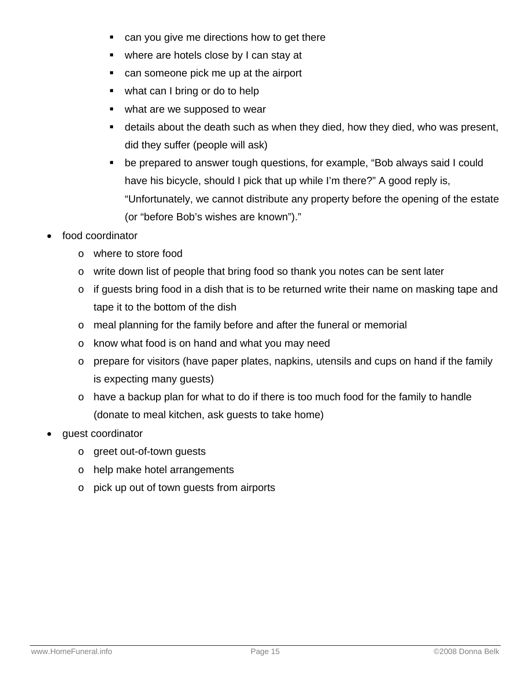- can you give me directions how to get there
- where are hotels close by I can stay at
- can someone pick me up at the airport
- what can I bring or do to help
- what are we supposed to wear
- details about the death such as when they died, how they died, who was present, did they suffer (people will ask)
- be prepared to answer tough questions, for example, "Bob always said I could have his bicycle, should I pick that up while I'm there?" A good reply is, "Unfortunately, we cannot distribute any property before the opening of the estate (or "before Bob's wishes are known")."
- food coordinator
	- o where to store food
	- o write down list of people that bring food so thank you notes can be sent later
	- o if guests bring food in a dish that is to be returned write their name on masking tape and tape it to the bottom of the dish
	- o meal planning for the family before and after the funeral or memorial
	- o know what food is on hand and what you may need
	- $\circ$  prepare for visitors (have paper plates, napkins, utensils and cups on hand if the family is expecting many guests)
	- o have a backup plan for what to do if there is too much food for the family to handle (donate to meal kitchen, ask guests to take home)
- guest coordinator
	- o greet out-of-town guests
	- o help make hotel arrangements
	- o pick up out of town guests from airports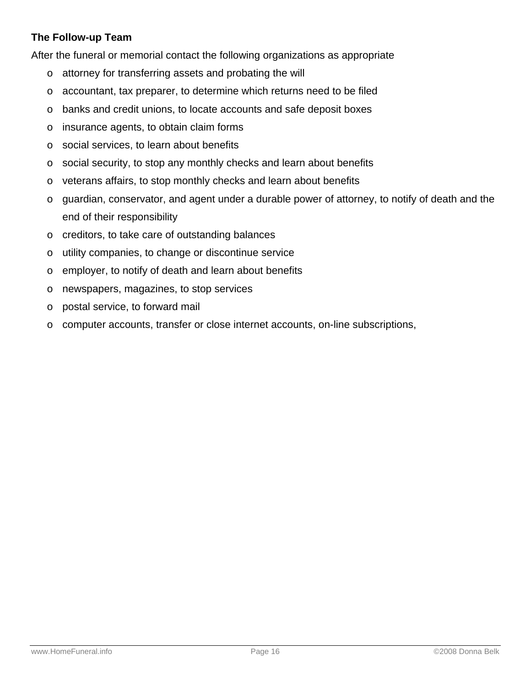## **The Follow-up Team**

After the funeral or memorial contact the following organizations as appropriate

- o attorney for transferring assets and probating the will
- o accountant, tax preparer, to determine which returns need to be filed
- o banks and credit unions, to locate accounts and safe deposit boxes
- o insurance agents, to obtain claim forms
- o social services, to learn about benefits
- o social security, to stop any monthly checks and learn about benefits
- o veterans affairs, to stop monthly checks and learn about benefits
- o guardian, conservator, and agent under a durable power of attorney, to notify of death and the end of their responsibility
- o creditors, to take care of outstanding balances
- o utility companies, to change or discontinue service
- o employer, to notify of death and learn about benefits
- o newspapers, magazines, to stop services
- o postal service, to forward mail
- o computer accounts, transfer or close internet accounts, on-line subscriptions,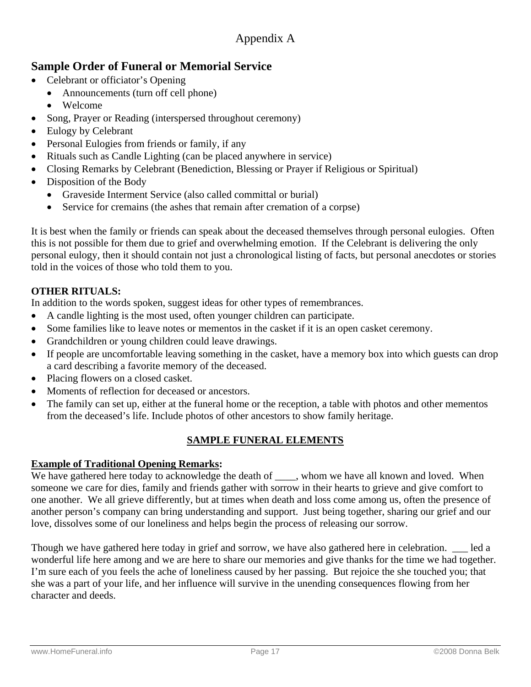# Appendix A

## **Sample Order of Funeral or Memorial Service**

- Celebrant or officiator's Opening
	- Announcements (turn off cell phone)
	- Welcome
- Song, Prayer or Reading (interspersed throughout ceremony)
- Eulogy by Celebrant
- Personal Eulogies from friends or family, if any
- Rituals such as Candle Lighting (can be placed anywhere in service)
- Closing Remarks by Celebrant (Benediction, Blessing or Prayer if Religious or Spiritual)
- Disposition of the Body
	- Graveside Interment Service (also called committal or burial)
	- Service for cremains (the ashes that remain after cremation of a corpse)

It is best when the family or friends can speak about the deceased themselves through personal eulogies. Often this is not possible for them due to grief and overwhelming emotion. If the Celebrant is delivering the only personal eulogy, then it should contain not just a chronological listing of facts, but personal anecdotes or stories told in the voices of those who told them to you.

## **OTHER RITUALS:**

In addition to the words spoken, suggest ideas for other types of remembrances.

- A candle lighting is the most used, often younger children can participate.
- Some families like to leave notes or mementos in the casket if it is an open casket ceremony.
- Grandchildren or young children could leave drawings.
- If people are uncomfortable leaving something in the casket, have a memory box into which guests can drop a card describing a favorite memory of the deceased.
- Placing flowers on a closed casket.
- Moments of reflection for deceased or ancestors.
- The family can set up, either at the funeral home or the reception, a table with photos and other mementos from the deceased's life. Include photos of other ancestors to show family heritage.

#### **SAMPLE FUNERAL ELEMENTS**

#### **Example of Traditional Opening Remarks:**

We have gathered here today to acknowledge the death of \_\_\_\_, whom we have all known and loved. When someone we care for dies, family and friends gather with sorrow in their hearts to grieve and give comfort to one another. We all grieve differently, but at times when death and loss come among us, often the presence of another person's company can bring understanding and support. Just being together, sharing our grief and our love, dissolves some of our loneliness and helps begin the process of releasing our sorrow.

Though we have gathered here today in grief and sorrow, we have also gathered here in celebration. \_\_\_ led a wonderful life here among and we are here to share our memories and give thanks for the time we had together. I'm sure each of you feels the ache of loneliness caused by her passing. But rejoice the she touched you; that she was a part of your life, and her influence will survive in the unending consequences flowing from her character and deeds.